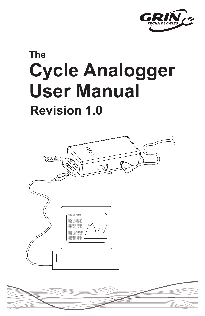

# **The Cycle Analogger User Manual**

# **Revision 1.0**



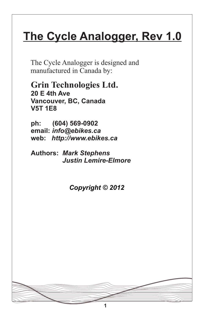# **The Cycle Analogger, Rev 1.0**

The Cycle Analogger is designed and manufactured in Canada by:

**Grin Technologies Ltd. 20 E 4th Ave Vancouver, BC, Canada V5T 1E8**

**ph: (604) 569-0902 email:** *info@ebikes.ca* **web:** *http://www.ebikes.ca*

**Authors:** *Mark Stephens Justin Lemire-Elmore*

*Copyright © 2012*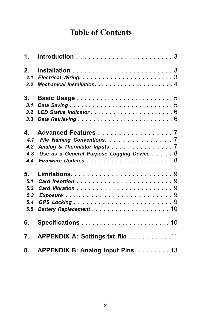# **Table of Contents**

| 2.  |                                           |
|-----|-------------------------------------------|
| 2.1 |                                           |
| 2.2 |                                           |
| 3.  |                                           |
| 3.1 |                                           |
| 3.2 |                                           |
| 3.3 |                                           |
| 4.  | Advanced Features 7                       |
| 4.1 | File Naming Conventions. 7                |
| 4.2 | Analog & Thermistor Inputs 7              |
| 4.3 | Use as a General Purpose Logging Device 8 |
| 4.4 |                                           |
| 5.  |                                           |
| 5.1 |                                           |
| 5.2 |                                           |
| 5,3 |                                           |
| 5.4 |                                           |
| 5.5 |                                           |
| 6.  |                                           |
| 7.  | APPENDIX A: Settings.txt file 11          |
| 8.  | <b>APPENDIX B: Analog Input Pins. 13</b>  |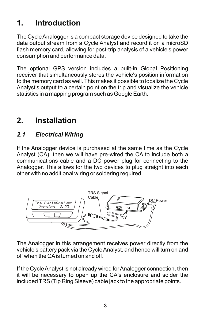# **1. Introduction**

The Cycle Analogger is a compact storage device designed to take the data output stream from a Cycle Analyst and record it on a microSD flash memory card, allowing for post-trip analysis of a vehicle's power consumption and performance data.

The optional GPS version includes a built-in Global Positioning receiver that simultaneously stores the vehicle's position information to the memory card as well. This makes it possible to localize the Cycle Analyst's output to a certain point on the trip and visualize the vehicle statistics in a mapping program such as Google Earth.

# **2. Installation**

#### *2.1 Electrical Wiring*

If the Analogger device is purchased at the same time as the Cycle Analyst (CA), then we will have pre-wired the CA to include both a communications cable and a DC power plug for connecting to the Analogger. This allows for the two devices to plug straight into each other with no additional wiring or soldering required.



The Analogger in this arrangement receives power directly from the vehicle's battery pack via the Cycle Analyst, and hence will turn on and off when the CAis turned on and off.

If the Cycle Analyst is not already wired for Analogger connection, then it will be necessary to open up the CA's enclosure and solder the included TRS (Tip Ring Sleeve) cable jack to the appropriate points.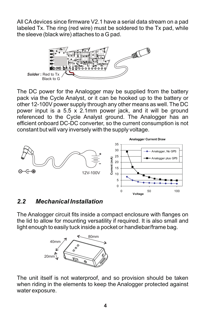All CAdevices since firmware V2.1 have a serial data stream on a pad labeled Tx. The ring (red wire) must be soldered to the Tx pad, while the sleeve (black wire) attaches to a G pad.



The DC power for the Analogger may be supplied from the battery pack via the Cycle Analyst, or it can be hooked up to the battery or other 12-100V power supply through any other means as well. The DC power input is a 5.5 x 2.1mm power jack, and it will be ground referenced to the Cycle Analyst ground. The Analogger has an efficient onboard DC-DC converter, so the current consumption is not constant but will vary inversely with the supply voltage.



#### *2.2 Mechanical Installation*

The Analogger circuit fits inside a compact enclosure with flanges on the lid to allow for mounting versatility if required. It is also small and light enough to easily tuck inside a pocket or handlebar/frame bag.



The unit itself is not waterproof, and so provision should be taken when riding in the elements to keep the Analogger protected against water exposure.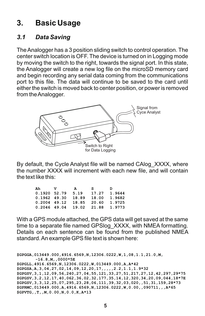# **3. Basic Usage**

#### *3.1 Data Saving*

The Analogger has a 3 position sliding switch to control operation. The center switch location is OFF. The device is turned on in Logging mode by moving the switch to the right, towards the signal port. In this state, the Analogger will create a new log file on the microSD memory card and begin recording any serial data coming from the communications port to this file. The data will continue to be saved to the card until either the switch is moved back to center position, or power is removed from the Analogger.



By default, the Cycle Analyst file will be named CAlog\_XXXX, where the number XXXX will increment with each new file, and will contain the text like this:

| Ah             | v                    | A                          | S.    | <sub>D</sub> |
|----------------|----------------------|----------------------------|-------|--------------|
| $0.1920$ 52.79 |                      | 5.19                       | 17.27 | 1.9644       |
|                | $0.1962$ 49.30 18.89 |                            | 18.00 | 1.9682       |
|                | $0.2004$ 49.12 18.85 |                            | 20.60 | 1.9725       |
|                |                      | $0.2046$ 49.04 19.02 21.88 |       | 1.9773       |

With a GPS module attached, the GPS data will get saved at the same time to a separate file named GPSlog\_XXXX, with NMEA formatting. Details on each sentence can be found from the published NMEA standard. An example GPS file text is shown here:

```
$GPGGA,013449.000,4916.6569,N,12306.0222,W,1,08,1.1,21.0,M,
       -16.8,M,,0000*5E
$GPGLL,4916.6569,N,12306.0222,W,013449.000,A,A*42
$GPGSA,A,3,04,27,02,14,09,12,20,17,,,,,2.2,1.1,1.9*32
$GPGSV,3,1,12,09,56,240,27,04,55,121,33,27,51,217,27,12,42,297,29*75
$GPGSV,3,2,12,17,40,062,36,02,32,177,35,14,12,320,34,20,09,044,18*7E
$GPGSV,3,3,12,25,07,295,23,28,06,111,39,32,03,020,,51,31,159,28*73
$GPRMC,013449.000,A,4916.6569,N,12306.0222,W,0.00,,090711,,,A*65
$GPVTG,,T,,M,0.00,N,0.0,K,A*13
```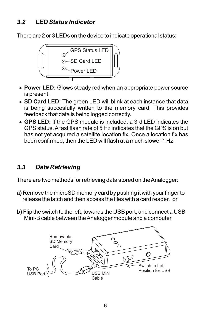#### *3.2 LED Status Indicator*

There are 2 or 3 LEDs on the device to indicate operational status:



- ?**Power LED:** Glows steady red when an appropriate power source is present.
- ?**SD Card LED:** The green LED will blink at each instance that data is being succesfully written to the memory card. This provides feedback that data is being logged correctly.
- ?**GPS LED:** If the GPS module is included, a 3rd LED indicates the GPS status. Afast flash rate of 5 Hz indicates that the GPS is on but has not yet acquired a satellite location fix. Once a location fix has been confirmed, then the LED will flash at a much slower 1 Hz.

#### *3.3 Data Retrieving*

There are two methods for retrieving data stored on the Analogger:

- **a)** Remove the microSD memory card by pushing it with your finger to release the latch and then access the files with a card reader, or
- **b)** Flip the switch to the left, towards the USB port, and connect a USB Mini-B cable between the Analogger module and a computer.

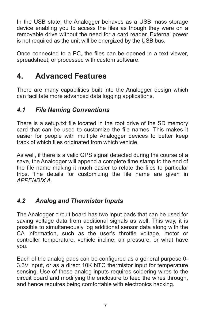In the USB state, the Analogger behaves as a USB mass storage device enabling you to access the files as though they were on a removable drive without the need for a card reader. External power is not required as the unit will be energized by the USB bus.

Once connected to a PC, the files can be opened in a text viewer, spreadsheet, or processed with custom software.

## **4. Advanced Features**

There are many capabilities built into the Analogger design which can facilitate more advanced data logging applications.

#### *4.1 File Naming Conventions*

There is a setup.txt file located in the root drive of the SD memory card that can be used to customize the file names. This makes it easier for people with multiple Analogger devices to better keep track of which files originated from which vehicle.

As well, if there is a valid GPS signal detected during the course of a save, the Analogger will append a complete time stamp to the end of the file name making it much easier to relate the files to particular trips. The details for customizing the file name are given in *APPENDIX A*.

#### *4.2 Analog and Thermistor Inputs*

The Analogger circuit board has two input pads that can be used for saving voltage data from additional signals as well. This way, it is possible to simultaneously log additional sensor data along with the CA information, such as the user's throttle voltage, motor or controller temperature, vehicle incline, air pressure, or what have you.

Each of the analog pads can be configured as a general purpose 0- 3.3V input, or as a direct 10K NTC thermistor input for temperature sensing. Use of these analog inputs requires soldering wires to the circuit board and modifying the enclosure to feed the wires through, and hence requires being comfortable with electronics hacking.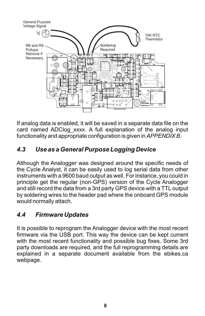

If analog data is enabled, it will be saved in a separate data file on the card named ADClog xxxx. A full explanation of the analog input functionality and appropriate configuration is given in *APPENDIX B*.

#### *4.3 Use as a General Purpose Logging Device*

Although the Analogger was designed around the specific needs of the Cycle Analyst, it can be easily used to log serial data from other instruments with a 9600 baud output as well. For instance, you could in principle get the regular (non-GPS) version of the Cycle Analogger and still record the data from a 3rd party GPS device with a TTL output by soldering wires to the header pad where the onboard GPS module would normally attach.

#### *4.4 Firmware Updates*

It is possible to reprogram the Analogger device with the most recent firmware via the USB port. This way the device can be kept current with the most recent functionality and possible bug fixes. Some 3rd party downloads are required, and the full reprogramming details are explained in a separate document available from the ebikes.ca webpage.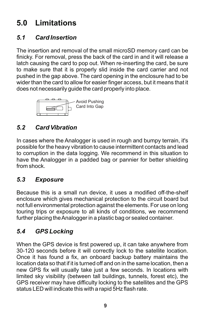# **5.0 Limitations**

#### *5.1 Card Insertion*

The insertion and removal of the small microSD memory card can be finicky. For removal, press the back of the card in and it will release a latch causing the card to pop out. When re-inserting the card, be sure to make sure that it is properly slid inside the card carrier and not pushed in the gap above. The card opening in the enclosure had to be wider than the card to allow for easier finger access, but it means that it does not necessarily guide the card properly into place.



#### *5.2 Card Vibration*

In cases where the Analogger is used in rough and bumpy terrain, it's possible for the heavy vibration to cause intermittent contacts and lead to corruption in the data logging. We recommend in this situation to have the Analogger in a padded bag or pannier for better shielding from shock.

#### *5.3 Exposure*

Because this is a small run device, it uses a modified off-the-shelf enclosure which gives mechanical protection to the circuit board but not full environmental protection against the elements. For use on long touring trips or exposure to all kinds of conditions, we recommend further placing the Analogger in a plastic bag or sealed container.

#### *5.4 GPS Locking*

When the GPS device is first powered up, it can take anywhere from 30-120 seconds before it will correctly lock to the satellite location. Once it has found a fix, an onboard backup battery maintains the location data so that if it is turned off and on in the same location, then a new GPS fix will usually take just a few seconds. In locations with limited sky visibility (between tall buildings, tunnels, forest etc), the GPS receiver may have difficulty locking to the satellites and the GPS status LED will indicate this with a rapid 5Hz flash rate.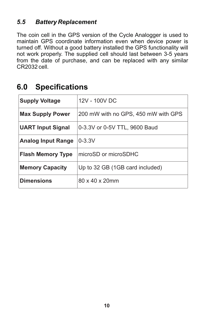#### *5.5 Battery Replacement*

The coin cell in the GPS version of the Cycle Analogger is used to maintain GPS coordinate information even when device power is turned off. Without a good battery installed the GPS functionality will not work properly. The supplied cell should last between 3-5 years from the date of purchase, and can be replaced with any similar CR2032 cell.

### **6.0 Specifications**

| <b>Supply Voltage</b>     | 12V - 100V DC                       |  |
|---------------------------|-------------------------------------|--|
| <b>Max Supply Power</b>   | 200 mW with no GPS, 450 mW with GPS |  |
| <b>UART Input Signal</b>  | 0-3.3V or 0-5V TTL, 9600 Baud       |  |
| <b>Analog Input Range</b> | $0 - 3.3V$                          |  |
| <b>Flash Memory Type</b>  | microSD or microSDHC                |  |
| <b>Memory Capacity</b>    | Up to 32 GB (1GB card included)     |  |
| <b>Dimensions</b>         | $80 \times 40 \times 20$ mm         |  |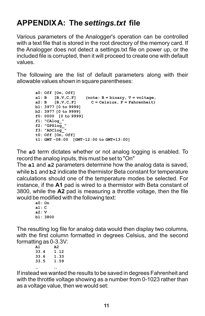# **APPENDIX A: The** *settings.txt* **file**

Various parameters of the Analogger's operation can be controlled with a text file that is stored in the root directory of the memory card. If the Analogger does not detect a settings.txt file on power up, or the included file is corrupted, then it will proceed to create one with default values.

The following are the list of default parameters along with their allowable values shown in square parentheses:

```
a0: Off [On, Off]
a1: B [B,V,C,F] (note: B = binary, V = voltage, 
a2: B [B, V, C, F] C = Celsius, F = Fahrenheit)
b1: 3977 [0 to 9999]
b2: 3977 [0 to 9999]
f0: 0000 [0 to 9999]
f1: "CAlog_"
f2: "GPSlog_"
f3: "ADClog_"
t0: Off [On, Off]
t1: GMT -08:00 [GMT-12:00 to GMT+13:00]
```
The **a0** term dictates whether or not analog logging is enabled. To record the analog inputs, this must be set to "On"

The **a1** and **a2** parameters determine how the analog data is saved, while **b1** and **b2** indicate the thermistor Beta constant for temperature calculations should one of the temperature modes be selected. For instance, if the **A1** pad is wired to a thermistor with Beta constant of 3800, while the **A2** pad is measuring a throttle voltage, then the file would be modified with the following text:

**a0: On a1: C a2: V b1: 3800** 

The resulting log file for analog data would then display two columns, with the first column formatted in degrees Celsius, and the second formatting as 0-3.3V:

| A1   | A2   |
|------|------|
| 33.4 | 1.12 |
| 33.6 | 1.33 |
| 33.5 | 1.59 |
|      |      |
|      |      |

If instead we wanted the results to be saved in degrees Fahrenheit and with the throttle voltage showing as a number from 0-1023 rather than as a voltage value, then we would set: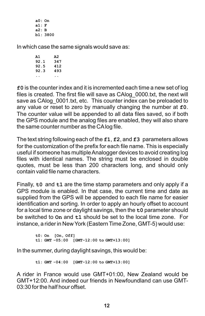**a0: On a1: F a2: B b1: 3800** 

In which case the same signals would save as:

**A1 A2 92.1 347 92.5 412 92.3 493 .. ..**

**f0** is the counter index and it is incremented each time a new set of log files is created. The first file will save as CAlog\_0000.txt, the next will save as CAlog 0001.txt, etc. This counter index can be preloaded to any value or reset to zero by manually changing the number at **f0**. The counter value will be appended to all data files saved, so if both the GPS module and the analog files are enabled, they will also share the same counter number as the CAlog file.

The text string following each of the **f1**, **f2**, and **f3** parameters allows for the customization of the prefix for each file name. This is especially useful if someone has multiple Analogger devices to avoid creating log files with identical names. The string must be enclosed in double quotes, must be less than 200 characters long, and should only contain valid file name characters.

Finally, **t0** and **t1** are the time stamp parameters and only apply if a GPS module is enabled. In that case, the current time and date as supplied from the GPS will be appended to each file name for easier identification and sorting. In order to apply an hourly offset to account for a local time zone or daylight savings, then the **t0** parameter should be switched to **On** and **t1** should be set to the local time zone. For instance, a rider in New York (Eastern Time Zone, GMT-5) would use:

```
t0: On [On, Off]
t1: GMT -05:00 [GMT-12:00 to GMT+13:00]
```
In the summer, during daylight savings, this would be:

**t1: GMT -04:00 [GMT-12:00 to GMT+13:00]**

A rider in France would use GMT+01:00, New Zealand would be GMT+12:00. And indeed our friends in Newfoundland can use GMT-03:30 for the half hour offset.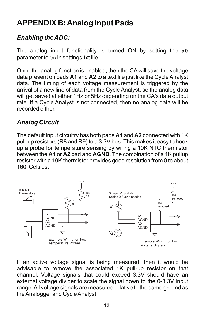# **APPENDIX B: Analog Input Pads**

#### *Enabling the ADC:*

The analog input functionality is turned ON by setting the **a0** parameter to On in settings.txt file.

Once the analog function is enabled, then the CA will save the voltage data present on pads **A1** and **A2** to a text file just like the Cycle Analyst data. The timing of each voltage measurement is triggered by the arrival of a new line of data from the Cycle Analyst, so the analog data will get saved at either 1Hz or 5Hz depending on the CA's data output rate. If a Cycle Analyst is not connected, then no analog data will be recorded either.

#### *Analog Circuit*

The default input circuitry has both pads **A1** and **A2** connected with 1K pull-up resistors (R8 and R9) to a 3.3V bus. This makes it easy to hook up a probe for temperature sensing by wiring a 10K NTC thermistor between the **A1** or **A2** pad and **AGND**. The combination of a 1K pullup resistor with a 10K thermistor provides good resolution from 0 to about 160 Celsius.



If an active voltage signal is being measured, then it would be advisable to remove the associated 1K pull-up resistor on that channel. Voltage signals that could exceed 3.3V should have an external voltage divider to scale the signal down to the 0-3.3V input range. All voltage signals are measured relative to the same ground as the Analogger and Cycle Analyst.